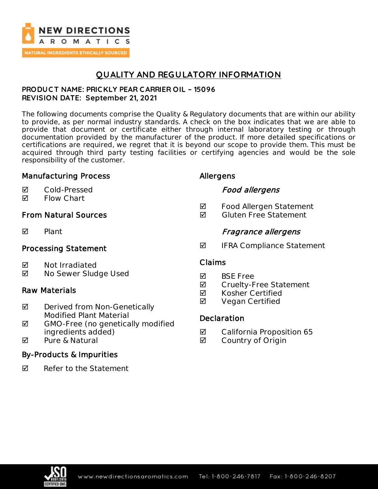

## **QUALITY AND REGULATORY INFORMATION**

### **PRODUC T NAME: PRIC KLY PEAR C ARRIER OIL – 15096 REVISION DATE: September 21, 2021**

The following documents comprise the Quality & Regulatory documents that are within our ability to provide, as per normal industry standards. A check on the box indicates that we are able to provide that document or certificate either through internal laboratory testing or through documentation provided by the manufacturer of the product. If more detailed specifications or certifications are required, we regret that it is beyond our scope to provide them. This must be acquired through third party testing facilities or certifying agencies and would be the sole responsibility of the customer.

## Manufacturing Process

### Cold-Pressed

**Ø** Flow Chart

## From Natural Sources

 $\nabla$  Plant

## Processing Statement

- **Ø** Not Irradiated
- No Sewer Sludge Used

## Raw Materials

- $\boxtimes$  Derived from Non-Genetically Modified Plant Material
- ◘ GMO-Free (no genetically modified ingredients added)
- $\overline{M}$  Pure & Natural

## By-Products & Impurities

 $\nabla$  Refer to the Statement

## Allergens

## Food allergens

- **Ø** Food Allergen Statement
- $\blacksquare$  Gluten Free Statement

## Fragrance allergens

 $\blacksquare$  IFRA Compliance Statement

## Claims

- **M** BSF Free
- **Ø** Cruelty-Free Statement
- **Ø** Kosher Certified
- **Ø** Vegan Certified

## **Declaration**

- California Proposition 65
- **Ø** Country of Origin

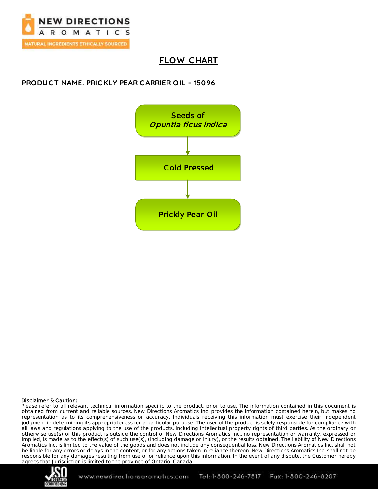

## **FLOW C HART**

## **PRODUC T NAME: PRIC KLY PEAR C ARRIER OIL – 15096**



### Disclaimer & Caution:

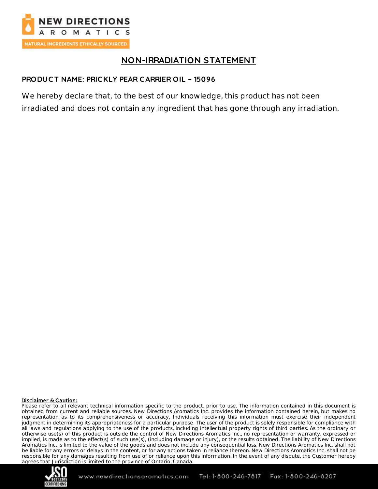

## **NON-IRRADIATION STATEMENT**

## **PRODUC T NAME: PRIC KLY PEAR C ARRIER OIL – 15096**

We hereby declare that, to the best of our knowledge, this product has not been irradiated and does not contain any ingredient that has gone through any irradiation.

### Disclaimer & Caution:

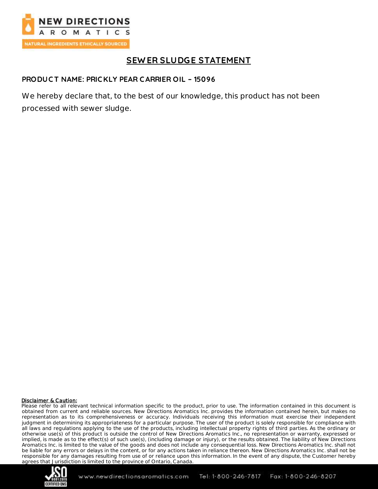

# **SEW ER SLUDGE STATEMENT**

### **PRODUC T NAME: PRIC KLY PEAR C ARRIER OIL – 15096**

We hereby declare that, to the best of our knowledge, this product has not been processed with sewer sludge.

#### Disclaimer & Caution:

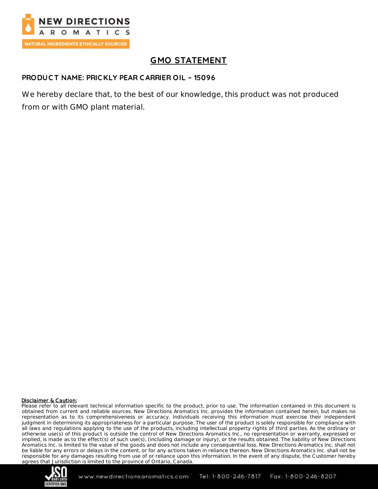

# **GMO STATEMENT**

### **PRODUC T NAME: PRIC KLY PEAR C ARRIER OIL – 15096**

We hereby declare that, to the best of our knowledge, this product was not produced from or with GMO plant material.

#### Disclaimer & Caution:

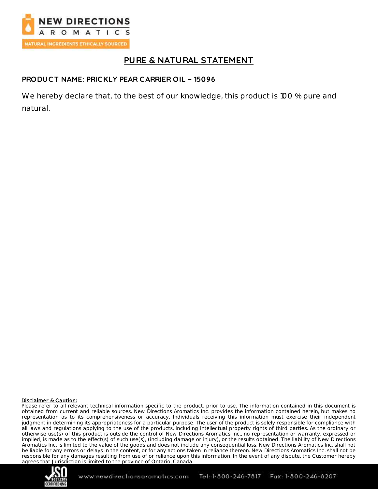

## **PURE & NATURAL STATEMENT**

### **PRODUC T NAME: PRIC KLY PEAR C ARRIER OIL – 15096**

We hereby declare that, to the best of our knowledge, this product is 100 % pure and natural.

#### Disclaimer & Caution:

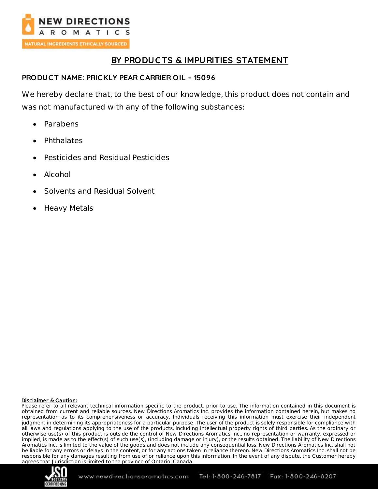

## **BY PRODUC TS & IMPURITIES STATEMENT**

### **PRODUC T NAME: PRIC KLY PEAR C ARRIER OIL – 15096**

We hereby declare that, to the best of our knowledge, this product does not contain and was not manufactured with any of the following substances:

- Parabens
- Phthalates
- Pesticides and Residual Pesticides
- Alcohol
- Solvents and Residual Solvent
- Heavy Metals

### Disclaimer & Caution:

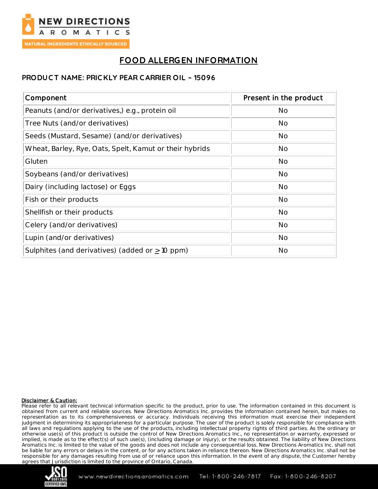

# **FOOD ALLERGEN INFORMATION**

## **PRODUC T NAME: PRIC KLY PEAR C ARRIER OIL – 15096**

| Component                                               | Present in the product |
|---------------------------------------------------------|------------------------|
| Peanuts (and/or derivatives,) e.g., protein oil         | <b>No</b>              |
| Tree Nuts (and/or derivatives)                          | <b>No</b>              |
| Seeds (Mustard, Sesame) (and/or derivatives)            | <b>No</b>              |
| Wheat, Barley, Rye, Oats, Spelt, Kamut or their hybrids | <b>No</b>              |
| Gluten                                                  | <b>No</b>              |
| Soybeans (and/or derivatives)                           | <b>No</b>              |
| Dairy (including lactose) or Eggs                       | <b>No</b>              |
| Fish or their products                                  | <b>No</b>              |
| Shellfish or their products                             | <b>No</b>              |
| Celery (and/or derivatives)                             | <b>No</b>              |
| Lupin (and/or derivatives)                              | <b>No</b>              |
| Sulphites (and derivatives) (added or $\geq$ 10 ppm)    | <b>No</b>              |

### Disclaimer & Caution:

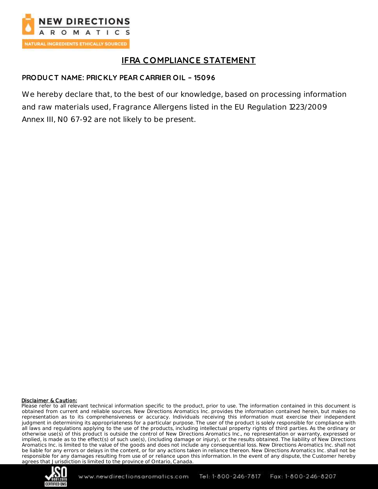

# **IFRA C OMPLIANCE STATEMENT**

## **PRODUC T NAME: PRIC KLY PEAR C ARRIER OIL – 15096**

We hereby declare that, to the best of our knowledge, based on processing information and raw materials used, Fragrance Allergens listed in the EU Regulation 1223/2009 Annex III, N0 67-92 are not likely to be present.

### Disclaimer & Caution:

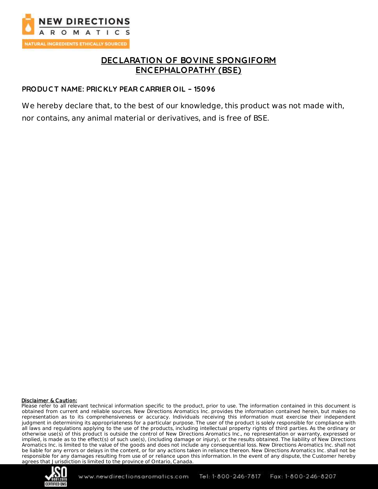

## **DEC LARATION OF BOVINE SPONGIFORM ENC EPHALOPATHY (BSE)**

### **PRODUC T NAME: PRIC KLY PEAR C ARRIER OIL – 15096**

We hereby declare that, to the best of our knowledge, this product was not made with, nor contains, any animal material or derivatives, and is free of BSE.

#### Disclaimer & Caution:

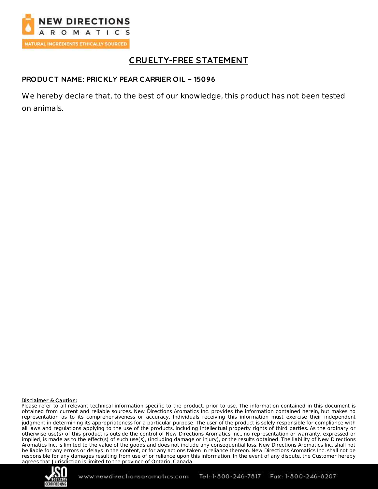

# **C RUELTY-FREE STATEMENT**

## **PRODUC T NAME: PRIC KLY PEAR C ARRIER OIL – 15096**

We hereby declare that, to the best of our knowledge, this product has not been tested on animals.

#### Disclaimer & Caution:

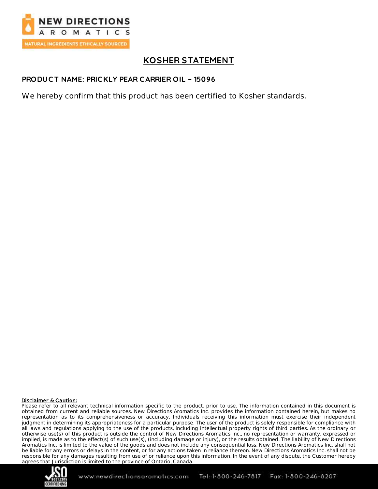

# **KOSHER STATEMENT**

### **PRODUC T NAME: PRIC KLY PEAR C ARRIER OIL – 15096**

We hereby confirm that this product has been certified to Kosher standards.

#### Disclaimer & Caution:

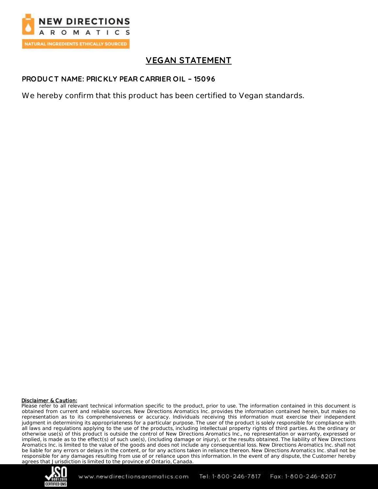

# **VEGAN STATEMENT**

### **PRODUC T NAME: PRIC KLY PEAR C ARRIER OIL – 15096**

We hereby confirm that this product has been certified to Vegan standards.

#### Disclaimer & Caution:

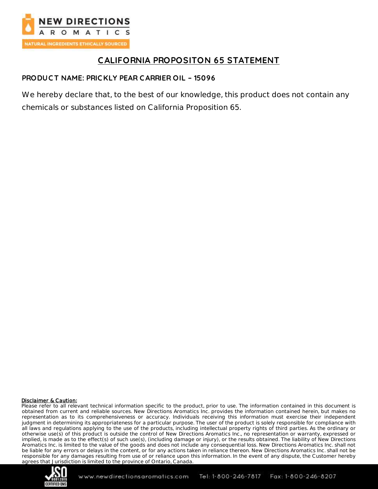

# **CALIFORNIA PROPOSITON 65 STATEMENT**

## **PRODUC T NAME: PRIC KLY PEAR C ARRIER OIL – 15096**

We hereby declare that, to the best of our knowledge, this product does not contain any chemicals or substances listed on California Proposition 65.

### Disclaimer & Caution: